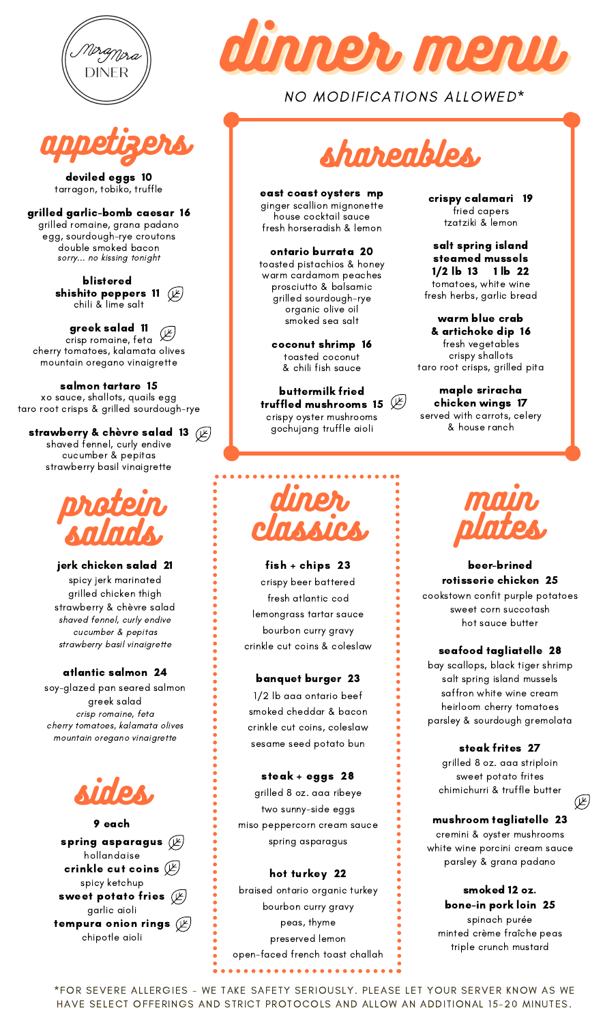



deviled eggs 10 tarragon, tobiko, truffle

grilled garlic-bomb caesar 16 grilled romaine, grana padano egg, sourdough-rye croutons double smoked bacon sorry... no kissing tonight

> blistered shishito peppers 11 chili & lime salt

greek salad 11 crisp romaine, feta cherry tomatoes, kalamata olives mountain oregano vinaigrette

salmon tartare 15 xo sauce, shallots, quails egg taro root crisps & grilled sourdough-rye

strawberry & chèvre salad 13  $(\cancel{\vee})$ shaved fennel, curly endive cucumber & pepitas strawberry basil vinaigrette



jerk chicken salad 21 spicy jerk marinated grilled chicken thigh strawberry & chèvre salad shaved fennel, curly endive cucumber & pepitas strawberry basil vinaigrette

# atlantic salmon 24

soy-glazed pan seared salmon greek salad crisp romaine, feta cherry tomatoes, kalamata olives mountain oregano vinaigrette



spring asparagus  $(\cancel{\mathbb{F}})$ hollandaise crinkle cut coins  $(\cancel{\mathbb{E}})$ spicy ketchup sweet potato fries  $(\cancel{\not\!\! E})$ garlic aioli tempura onion rings  $(\not\!\! E)$ chipotle aioli 9 each



NO MODIFICATIONS ALLOWED\*



east coast oysters mp ginger scallion mignonette house cocktail sauce fresh horseradish & lemon

ontario burrata 20 toasted pistachios & honey warm cardamom peaches prosciutto & balsamic grilled sourdough-rye organic olive oil smoked sea salt

> coconut shrimp 16 toasted coconut & chili fish sauce

buttermilk fried truffled mushrooms 15  $(\nleftrightarrow)$ crispy oyster mushrooms gochujang truffle aioli

crispy calamari 19 fried capers tzatziki & lemon

salt spring island steamed mussels 1/2 lb 13 1 lb 22 tomatoes, white wine fresh herbs, garlic bread

warm blue crab & artichoke dip 16 fresh vegetables crispy shallots taro root crisps, grilled pita

maple sriracha chicken wings 17 served with carrots, celery & house ranch



fish + chips 23 crispy beer battered fresh atlantic cod lemongrass tartar sauce bourbon curry gravy crinkle cut coins & coleslaw

# banquet burger 23

1/2 lb aaa ontario beef smoked cheddar & bacon crinkle cut coins, coleslaw sesame seed potato bun

# steak + eggs 28

grilled 8 oz. aaa ribeye two sunny-side eggs miso peppercorn cream sauce spring asparagus

# hot turkey 22

braised ontario organic turkey bourbon curry gravy peas, thyme preserved lemon open-faced french toast challah . . . . . . . . . . . . . . . . . . .



# beer-brined rotisserie chicken 25

cookstown confit purple potatoes sweet corn succotash hot sauce butter

# seafood tagliatelle 28

bay scallops, black tiger shrimp salt spring island mussels saffron white wine cream heirloom cherry tomatoes parsley & sourdough gremolata

# steak frites 27

grilled 8 oz. aaa striploin sweet potato frites chimichurri & truffle butter

 $(\nsubseteq)$ 

# mushroom tagliatelle 23

cremini & oyster mushrooms white wine porcini cream sauce parsley & grana padano

> smoked 12 oz. bone-in pork loin 25

spinach purée minted crème fraîche peas triple crunch mustard

\*FOR SEVERE ALLERGIES - WE TAKE SAFETY SERIOUSLY. PLEASE LET YOUR SERVER KNOW AS WE HAVE SELECT OFFERINGS AND STRICT PROTOCOLS AND ALLOW AN ADDITIONAL 15-20 MINUTES.